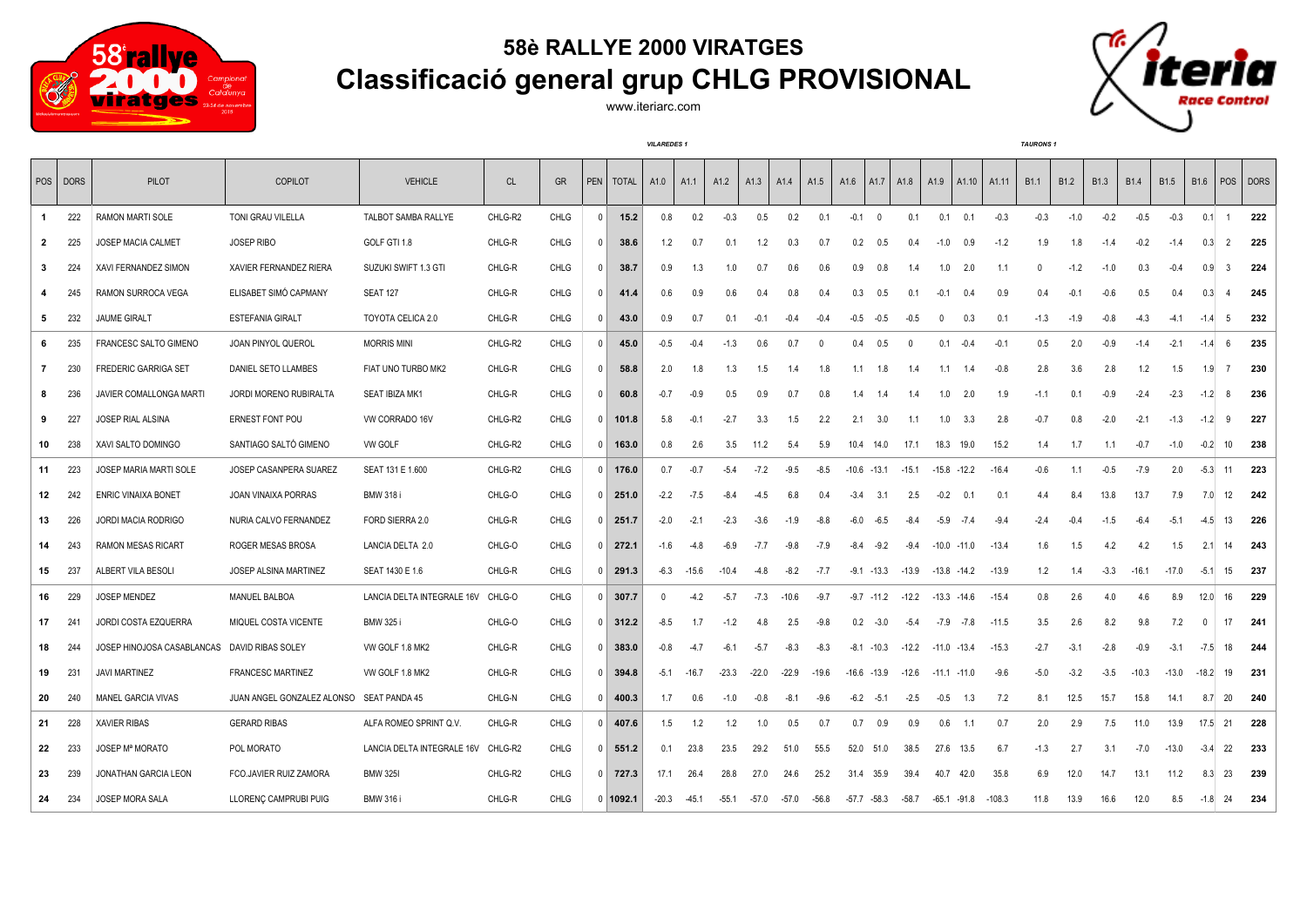

## **58è RALLYE 2000 VIRATGES Classificació general grup CHLG PROVISIONAL**

www.iteriarc.com

*VILAREDES 1 TAURONS 1*



|                | POS DORS | PILOT                      | <b>COPILOT</b>                           | <b>VEHICLE</b>             | <b>CL</b> | <b>GR</b>   | <b>PEN</b>         | <b>TOTAL</b> | A1.0         | A1.1    | A1.2    | A1.3    | A1.4    | A <sub>1.5</sub> | A1.6           | A <sub>1.7</sub>        | A1.8     | A1.9            | A <sub>1.10</sub> | A1.11    | <b>B1.1</b> | B <sub>1.2</sub> | <b>B1.3</b> | <b>B1.4</b> | <b>B1.5</b> | <b>B1.6</b>  | <b>POS</b>     | <b>DORS</b> |
|----------------|----------|----------------------------|------------------------------------------|----------------------------|-----------|-------------|--------------------|--------------|--------------|---------|---------|---------|---------|------------------|----------------|-------------------------|----------|-----------------|-------------------|----------|-------------|------------------|-------------|-------------|-------------|--------------|----------------|-------------|
| $\mathbf{1}$   | 222      | RAMON MARTI SOLE           | TONI GRAU VILELLA                        | TALBOT SAMBA RALLYE        | CHLG-R2   | CHLG        | $\mathbf 0$        | 15.2         | 0.8          | 0.2     | $-0.3$  | 0.5     | 0.2     | 0.1              | $-0.1$         | $\overline{\mathbf{0}}$ | 0.1      | 0.1             | 0.1               | $-0.3$   | $-0.3$      | $-1.0$           | $-0.2$      | $-0.5$      | $-0.3$      | 0.1          | $\overline{1}$ | 222         |
| $\overline{2}$ | 225      | JOSEP MACIA CALMET         | JOSEP RIBO                               | GOLF GTI 1.8               | CHLG-R    | CHLG        | $\mathbf 0$        | 38.6         | 1.2          | 0.7     | 0.1     | 1.2     | 0.3     | 0.7              | 0.2            | 0.5                     | 0.4      | $-1.0$          | 0.9               | $-1.2$   | 1.9         | 1.8              | $-1.4$      | $-0.2$      | $-1.4$      | 0.3          | 2              | 225         |
| $\mathbf{3}$   | 224      | XAVI FERNANDEZ SIMON       | XAVIER FERNANDEZ RIERA                   | SUZUKI SWIFT 1.3 GTI       | CHLG-R    | <b>CHLG</b> | $^{\circ}$         | 38.7         | 0.9          | 1.3     | 1.0     | 0.7     | 0.6     | 0.6              | 0.9            | 0.8                     | 1.4      | 1.0             | 2.0               | 1.1      | $\Omega$    | $-1.2$           | $-1.0$      | 0.3         | $-0.4$      | 0.9          | -3             | 224         |
| 4              | 245      | RAMON SURROCA VEGA         | ELISABET SIMÓ CAPMANY                    | <b>SEAT 127</b>            | CHLG-R    | <b>CHLG</b> | $^{\circ}$         | 41.4         | 0.6          | 0.9     | 0.6     | 0.4     | 0.8     | 0.4              | 0.3            | 0.5                     | 0.1      | $-0.1$          | 0.4               | 0.9      | 0.4         | $-0.1$           | $-0.6$      | 0.5         | 0.4         | 0.3          | $\overline{4}$ | 245         |
| 5              | - 232    | <b>JAUME GIRALT</b>        | <b>ESTEFANIA GIRALT</b>                  | TOYOTA CELICA 2.0          | CHLG-R    | <b>CHLG</b> | $^{\circ}$         | 43.0         | 0.9          | 0.7     | 0.1     | $-0.1$  | $-0.4$  | $-0.4$           | -0.5           | -0.5                    | $-0.5$   | $\overline{0}$  | 0.3               | 0.1      | $-1.3$      | $-1.9$           | $-0.8$      | $-4.3$      | $-4.1$      | $-1.4$       | 5              | 232         |
| 6              | - 235    | FRANCESC SALTO GIMENO      | JOAN PINYOL QUEROL                       | <b>MORRIS MINI</b>         | CHLG-R2   | CHLG        | $^{\circ}$         | 45.0         | $-0.5$       | $-0.4$  | $-1.3$  | 0.6     | 0.7     |                  | 0.4            | 0.5                     | $\Omega$ | 0.1             | $-0.4$            | $-0.1$   | 0.5         | 2.0              | $-0.9$      | $-1.4$      | $-2.1$      | $-1.4$       | -6             | 235         |
| $\mathbf{7}$   | 230      | FREDERIC GARRIGA SET       | DANIEL SETO LLAMBES                      | FIAT UNO TURBO MK2         | CHLG-R    | <b>CHLG</b> | $\overline{0}$     | 58.8         | 2.0          | 1.8     | 1.3     | 1.5     | 1.4     | 1.8              | 1.1            | 1.8                     | 1.4      | 1.1             | 1.4               | $-0.8$   | 2.8         | 3.6              | 2.8         | 1.2         | 1.5         | 1.9          | $\overline{7}$ | 230         |
| 8              | 236      | JAVIER COMALLONGA MARTI    | JORDI MORENO RUBIRALTA                   | SEAT IBIZA MK1             | CHLG-R    | <b>CHLG</b> | $\mathbf 0$        | 60.8         | $-0.7$       | $-0.9$  | 0.5     | 0.9     | 0.7     | 0.8              | 1.4            | 1.4                     | 1.4      | 1.0             | 2.0               | 1.9      | $-1.1$      | 0.1              | $-0.9$      | $-2.4$      | $-2.3$      | $-1.2$       | 8              | 236         |
| 9              | 227      | JOSEP RIAL ALSINA          | <b>ERNEST FONT POU</b>                   | VW CORRADO 16V             | CHLG-R2   | <b>CHLG</b> |                    | $0$ 101.8    | 5.8          | $-0.1$  | $-2.7$  | 3.3     | 1.5     | 2.2              | 2.1            | 3.0                     | 1.1      | 1.0             | 3.3               | 2.8      | $-0.7$      | 0.8              | $-2.0$      | $-2.1$      | $-1.3$      | $-1.2$       | 9              | 227         |
| 10             | 238      | XAVI SALTO DOMINGO         | SANTIAGO SALTÓ GIMENO                    | VW GOLF                    | CHLG-R2   | <b>CHLG</b> | $\mathbf 0$        | 163.0        | 0.8          | 2.6     | 3.5     | 11.2    | 5.4     | 5.9              | 10.4 14.0      |                         | 17.1     | 18.3            | 19.0              | 15.2     | 1.4         | 1.7              | 1.1         | $-0.7$      | $-1.0$      | $-0.2$       | 10             | 238         |
| 11             | 223      | JOSEP MARIA MARTI SOLE     | JOSEP CASANPERA SUAREZ                   | SEAT 131 E 1.600           | CHLG-R2   | CHLG        |                    | $0$ 176.0    | 0.7          | $-0.7$  | $-5.4$  | $-7.2$  | $-9.5$  | $-8.5$           | $-10.6 -13.1$  |                         | $-15.1$  | $-15.8$ $-12.2$ |                   | $-16.4$  | $-0.6$      | 1.1              | $-0.5$      | $-7.9$      | 2.0         | $-5.3$       | 11             | 223         |
| 12             | 242      | <b>ENRIC VINAIXA BONET</b> | JOAN VINAIXA PORRAS                      | <b>BMW 318 i</b>           | CHLG-O    | CHLG        |                    | $0$ 251.0    | $-2.2$       | $-7.5$  | $-8.4$  | $-4.5$  | 6.8     | 0.4              | $-3.4$         | 3.1                     | 2.5      | $-0.2$          | 0.1               | 0.1      | 4.4         | 8.4              | 13.8        | 13.7        | 7.9         | 7.0          | 12             | 242         |
| 13             | 226      | JORDI MACIA RODRIGO        | NURIA CALVO FERNANDEZ                    | FORD SIERRA 2.0            | CHLG-R    | CHLG        | $\overline{0}$     | 251.7        | $-2.0$       | $-2.1$  | $-2.3$  | $-3.6$  | $-1.9$  | $-8.8$           | $-6.0$         | $-6.5$                  | $-8.4$   | $-5.9$          | $-7.4$            | $-9.4$   | $-2.4$      | $-0.4$           | $-1.5$      | $-6.4$      | $-5.1$      | $-4.5$       | 13             | 226         |
| 14             | 243      | <b>RAMON MESAS RICART</b>  | ROGER MESAS BROSA                        | LANCIA DELTA 2.0           | CHLG-O    | CHLG        |                    | $0$ 272.1    | $-1.6$       | $-4.8$  | $-6.9$  | $-7.7$  | $-9.8$  | $-7.9$           | $-8.4$         | $-9.2$                  | $-9.4$   | $-10.0$         | $-11.0$           | $-13.4$  | 1.6         | 1.5              | 4.2         | 4.2         | 1.5         | 2.1          | 14             | 243         |
| 15             | 237      | ALBERT VILA BESOLI         | JOSEP ALSINA MARTINEZ                    | SEAT 1430 E 1.6            | CHLG-R    | CHLG        | $0$ $\overline{ }$ | 291.3        | $-6.3$       | $-15.6$ | $-10.4$ | $-4.8$  | $-8.2$  | $-7.7$           |                | $-9.1 - 13.3$           | $-13.9$  | $-13.8 - 14.2$  |                   | $-13.9$  | 1.2         | 1.4              | $-3.3$      | $-16.1$     | $-17.0$     | $-5.1$       | 15             | 237         |
| 16             | 229      | JOSEP MENDEZ               | MANUEL BALBOA                            | LANCIA DELTA INTEGRALE 16V | CHLG-O    | CHLG        |                    | $0$ 307.7    | $\mathbf{0}$ | $-4.2$  | $-5.7$  | $-7.3$  | $-10.6$ | $-9.7$           |                | $-9.7 -11.2$            | $-12.2$  | $-13.3$         | -14.6             | $-15.4$  | 0.8         | 2.6              | 4.0         | 4.6         | 8.9         | 12.0         | 16             | 229         |
| 17             | 241      | JORDI COSTA EZQUERRA       | MIQUEL COSTA VICENTE                     | <b>BMW 325 i</b>           | CHLG-O    | CHLG        |                    | $0$ 312.2    | $-8.5$       | 1.7     | $-1.2$  | 4.8     | 2.5     | $-9.8$           | 0.2            | $-3.0$                  | $-5.4$   | $-7.9$          | $-7.8$            | $-11.5$  | 3.5         | 2.6              | 8.2         | 9.8         | 7.2         | $\mathbf{0}$ | 17             | 241         |
| 18             | 244      | JOSEP HINOJOSA CASABLANCAS | DAVID RIBAS SOLEY                        | VW GOLF 1.8 MK2            | CHLG-R    | CHLG        |                    | $0$ 383.0    | $-0.8$       | $-4.7$  | $-6.1$  | $-5.7$  | $-8.3$  | $-8.3$           | -8.1           | $-10.3$                 | $-12.2$  | $-11.0 -13.4$   |                   | $-15.3$  | $-2.7$      | $-3.1$           | $-2.8$      | $-0.9$      | $-3.1$      | $-7.5$       | 18             | 244         |
| 19             | 231      | <b>JAVI MARTINEZ</b>       | <b>FRANCESC MARTINEZ</b>                 | VW GOLF 1.8 MK2            | CHLG-R    | <b>CHLG</b> |                    | $0$ 394.8    | $-5.1$       | $-16.7$ | $-23.3$ | $-22.0$ | $-22.9$ | $-19.6$          | $-16.6 - 13.9$ |                         | $-12.6$  | $-11.1 - 11.0$  |                   | $-9.6$   | $-5.0$      | $-3.2$           | $-3.5$      | $-10.3$     | $-13.0$     | $-18.2$      | 19             | 231         |
| 20             | 240      | MANEL GARCIA VIVAS         | JUAN ANGEL GONZALEZ ALONSO SEAT PANDA 45 |                            | CHLG-N    | CHLG        | $\mathbf{0}$       | 400.3        | 1.7          | 0.6     | $-1.0$  | $-0.8$  | $-8.1$  | $-9.6$           | $-6.2$         | $-5.1$                  | $-2.5$   | $-0.5$          | 1.3               | 7.2      | 8.1         | 12.5             | 15.7        | 15.8        | 14.1        | 8.7          | 20             | 240         |
| 21             | 228      | <b>XAVIER RIBAS</b>        | <b>GERARD RIBAS</b>                      | ALFA ROMEO SPRINT Q.V.     | CHLG-R    | <b>CHLG</b> | $\overline{0}$     | 407.6        | 1.5          | 1.2     | 1.2     | 1.0     | 0.5     | 0.7              | 0.7            | 0.9                     | 0.9      | 0.6             | 1.1               | 0.7      | 2.0         | 2.9              | 7.5         | 11.0        | 13.9        | 17.5         | - 21           | 228         |
| 22             | 233      | <b>JOSEP Mª MORATO</b>     | POL MORATO                               | LANCIA DELTA INTEGRALE 16V | CHLG-R2   | <b>CHLG</b> |                    | $0$ 551.2    | 0.1          | 23.8    | 23.5    | 29.2    | 51.0    | 55.5             | 52.0           | 51.0                    | 38.5     | 27.6            | 13.5              | 6.7      | $-1.3$      | 2.7              | 3.1         | $-7.0$      | $-13.0$     | $-3.4$       | 22             | 233         |
| 23             | 239      | JONATHAN GARCIA LEON       | FCO.JAVIER RUIZ ZAMORA                   | <b>BMW 325I</b>            | CHLG-R2   | <b>CHLG</b> |                    | $0$ 727.3    | 17.1         | 26.4    | 28.8    | 27.0    | 24.6    | 25.2             | 31.4 35.9      |                         | 39.4     | 40.7            | 42.0              | 35.8     | 6.9         | 12.0             | 14.7        | 13.1        | 11.2        | 8.3          | 23             | 239         |
| 24             | 234      | JOSEP MORA SALA            | LLORENC CAMPRUBI PUIG                    | <b>BMW 316 i</b>           | CHLG-R    | CHLG        |                    | 0 1092.1     | $-20.3$      | $-45.1$ | $-55.1$ | -57.0   | -57.0   | $-56.8$          | $-57.7 - 58.3$ |                         | $-58.7$  | -65.1           | -91.8             | $-108.3$ | 11.8        | 13.9             | 16.6        | 12.0        | 8.5         | $-1.8$       | -24            | 234         |